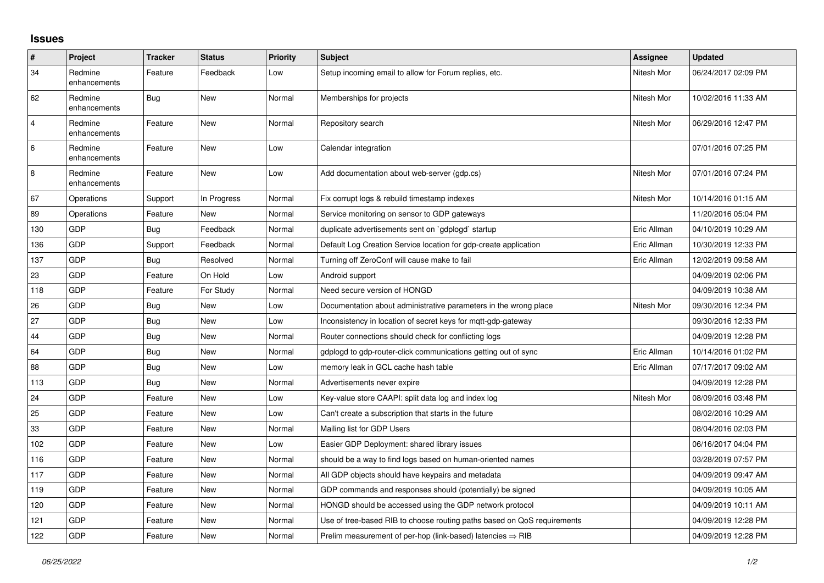## **Issues**

| $\vert$ #      | Project                 | <b>Tracker</b> | <b>Status</b> | <b>Priority</b> | <b>Subject</b>                                                          | Assignee    | <b>Updated</b>      |
|----------------|-------------------------|----------------|---------------|-----------------|-------------------------------------------------------------------------|-------------|---------------------|
| 34             | Redmine<br>enhancements | Feature        | Feedback      | Low             | Setup incoming email to allow for Forum replies, etc.                   | Nitesh Mor  | 06/24/2017 02:09 PM |
| 62             | Redmine<br>enhancements | <b>Bug</b>     | New           | Normal          | Memberships for projects                                                | Nitesh Mor  | 10/02/2016 11:33 AM |
| $\overline{4}$ | Redmine<br>enhancements | Feature        | <b>New</b>    | Normal          | Repository search                                                       | Nitesh Mor  | 06/29/2016 12:47 PM |
| $\,6$          | Redmine<br>enhancements | Feature        | <b>New</b>    | Low             | Calendar integration                                                    |             | 07/01/2016 07:25 PM |
| 8              | Redmine<br>enhancements | Feature        | <b>New</b>    | Low             | Add documentation about web-server (gdp.cs)                             | Nitesh Mor  | 07/01/2016 07:24 PM |
| 67             | Operations              | Support        | In Progress   | Normal          | Fix corrupt logs & rebuild timestamp indexes                            | Nitesh Mor  | 10/14/2016 01:15 AM |
| 89             | Operations              | Feature        | <b>New</b>    | Normal          | Service monitoring on sensor to GDP gateways                            |             | 11/20/2016 05:04 PM |
| 130            | <b>GDP</b>              | <b>Bug</b>     | Feedback      | Normal          | duplicate advertisements sent on `gdplogd` startup                      | Eric Allman | 04/10/2019 10:29 AM |
| 136            | GDP                     | Support        | Feedback      | Normal          | Default Log Creation Service location for gdp-create application        | Eric Allman | 10/30/2019 12:33 PM |
| 137            | <b>GDP</b>              | <b>Bug</b>     | Resolved      | Normal          | Turning off ZeroConf will cause make to fail                            | Eric Allman | 12/02/2019 09:58 AM |
| 23             | GDP                     | Feature        | On Hold       | Low             | Android support                                                         |             | 04/09/2019 02:06 PM |
| 118            | GDP                     | Feature        | For Study     | Normal          | Need secure version of HONGD                                            |             | 04/09/2019 10:38 AM |
| 26             | GDP                     | <b>Bug</b>     | <b>New</b>    | Low             | Documentation about administrative parameters in the wrong place        | Nitesh Mor  | 09/30/2016 12:34 PM |
| 27             | GDP                     | Bug            | New           | Low             | Inconsistency in location of secret keys for mqtt-gdp-gateway           |             | 09/30/2016 12:33 PM |
| 44             | GDP                     | Bug            | <b>New</b>    | Normal          | Router connections should check for conflicting logs                    |             | 04/09/2019 12:28 PM |
| 64             | GDP                     | Bug            | New           | Normal          | gdplogd to gdp-router-click communications getting out of sync          | Eric Allman | 10/14/2016 01:02 PM |
| 88             | GDP                     | Bug            | New           | Low             | memory leak in GCL cache hash table                                     | Eric Allman | 07/17/2017 09:02 AM |
| 113            | GDP                     | Bug            | <b>New</b>    | Normal          | Advertisements never expire                                             |             | 04/09/2019 12:28 PM |
| 24             | GDP                     | Feature        | <b>New</b>    | Low             | Key-value store CAAPI: split data log and index log                     | Nitesh Mor  | 08/09/2016 03:48 PM |
| 25             | GDP                     | Feature        | New           | Low             | Can't create a subscription that starts in the future                   |             | 08/02/2016 10:29 AM |
| 33             | GDP                     | Feature        | <b>New</b>    | Normal          | Mailing list for GDP Users                                              |             | 08/04/2016 02:03 PM |
| 102            | GDP                     | Feature        | <b>New</b>    | Low             | Easier GDP Deployment: shared library issues                            |             | 06/16/2017 04:04 PM |
| 116            | GDP                     | Feature        | New           | Normal          | should be a way to find logs based on human-oriented names              |             | 03/28/2019 07:57 PM |
| 117            | GDP                     | Feature        | <b>New</b>    | Normal          | All GDP objects should have keypairs and metadata                       |             | 04/09/2019 09:47 AM |
| 119            | <b>GDP</b>              | Feature        | <b>New</b>    | Normal          | GDP commands and responses should (potentially) be signed               |             | 04/09/2019 10:05 AM |
| 120            | <b>GDP</b>              | Feature        | New           | Normal          | HONGD should be accessed using the GDP network protocol                 |             | 04/09/2019 10:11 AM |
| 121            | GDP                     | Feature        | <b>New</b>    | Normal          | Use of tree-based RIB to choose routing paths based on QoS requirements |             | 04/09/2019 12:28 PM |
| 122            | <b>GDP</b>              | Feature        | New           | Normal          | Prelim measurement of per-hop (link-based) latencies $\Rightarrow$ RIB  |             | 04/09/2019 12:28 PM |